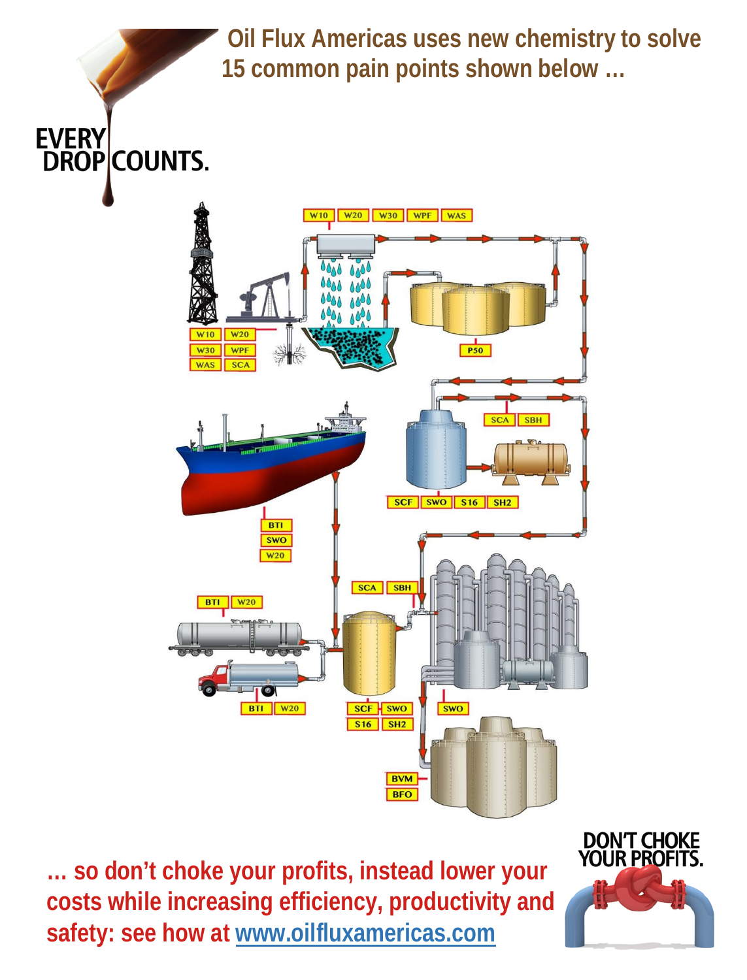**Oil Flux Americas uses new chemistry to solve 15 common pain points shown below …**

**EVERY DROP**COUNTS.



**… so don't choke your profits, instead lower your costs while increasing efficiency, productivity and safety: see how at www.oilfluxamericas.com**